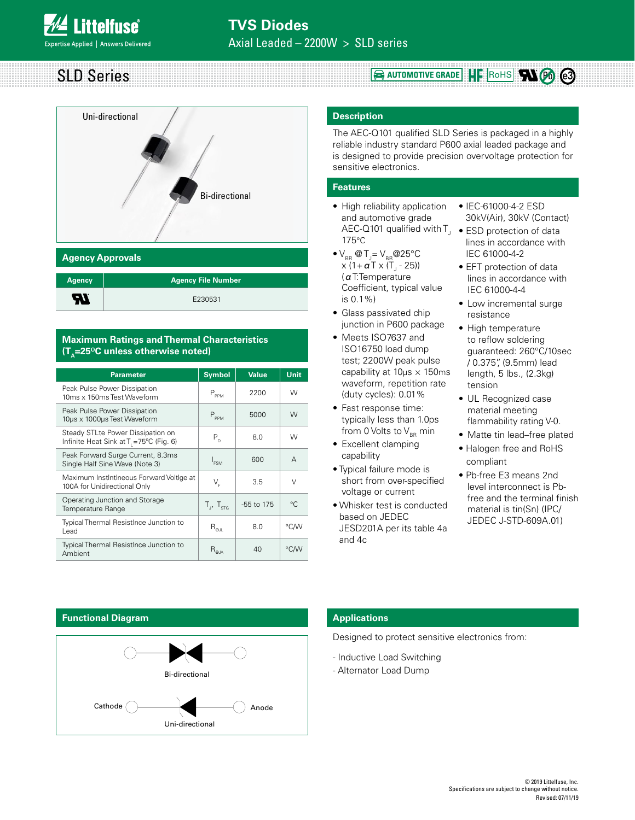SLD Series



| <b>Agency</b> | <b>Agency File Number</b> |
|---------------|---------------------------|
| ЯI            | E230531                   |

# **Maximum Ratings and Thermal Characteristics**   $(T_A=25^{\circ}C \text{ unless otherwise noted})$

| <b>Parameter</b>                                                                         | <b>Symbol</b>                             | <b>Value</b> | Unit         |
|------------------------------------------------------------------------------------------|-------------------------------------------|--------------|--------------|
| Peak Pulse Power Dissipation<br>10ms x 150ms Test Waveform                               | $\mathsf{P}_{\mathsf{PPM}}$               | 2200         | W            |
| Peak Pulse Power Dissipation<br>10µs x 1000µs Test Waveform                              | $P_{\scriptscriptstyle \sf PPM}$          | 5000         | W            |
| Steady STLte Power Dissipation on<br>Infinite Heat Sink at T <sub>1</sub> =75°C (Fig. 6) | $P_{n}$                                   | 8.0          | W            |
| Peak Forward Surge Current, 8.3ms<br>Single Half Sine Wave (Note 3)                      | $I_{FSM}$                                 | 600          | A            |
| Maximum InstIntIneous Forward VoltIge at<br>100A for Unidirectional Only                 | V,                                        | 3.5          | $\vee$       |
| Operating Junction and Storage<br>Temperature Range                                      | $T_{\rm H}$ , $T_{\rm src}$               | $-55$ to 175 | $^{\circ}$ C |
| Typical Thermal ResistInce Junction to<br>Lead                                           | $\mathsf{R}_{\mathsf{\Theta\mathsf{JL}}}$ | 8.0          | °C∕W         |
| Typical Thermal ResistInce Junction to<br>Ambient                                        | $R_{\rm \ThetaJA}$                        | 40           | °C∕W         |

# **Description**

The AEC-Q101 qualified SLD Series is packaged in a highly reliable industry standard P600 axial leaded package and is designed to provide precision overvoltage protection for sensitive electronics.

**E** AUTOMOTIVE GRADE **HE ROHS RIGG e3** 

## **Features**

- High reliability application and automotive grade AEC-Q101 qualified with  $\mathsf{T}_\mathsf{J}~\bullet$  ESD protection of data 175°C
- $\bullet$  V<sub>BR</sub> @ T<sub>J</sub>= V<sub>BR</sub> @ 25°C x (1+ **α** Τ x (Τ<sub>յ</sub> - 25)) (αT:Temperature Coefficient, typical value is 0.1%)
- Glass passivated chip junction in P600 package
- Meets ISO7637 and ISO16750 load dump test; 2200W peak pulse capability at 10μs × 150ms waveform, repetition rate (duty cycles): 0.01%
- Fast response time: typically less than 1.0ps from 0 Volts to  $V_{BR}$  min
- Excellent clamping capability
- Typical failure mode is short from over-specified voltage or current
- Whisker test is conducted based on JEDEC JESD201A per its table 4a and 4c
- IEC-61000-4-2 ESD 30kV(Air), 30kV (Contact)
- lines in accordance with IEC 61000-4-2
- EFT protection of data lines in accordance with IEC 61000-4-4
- Low incremental surge resistance
- High temperature to reflow soldering guaranteed: 260°C/10sec / 0.375", (9.5mm) lead length, 5 lbs., (2.3kg) tension
- UL Recognized case material meeting flammability rating V-0.
- Matte tin lead–free plated
- Halogen free and RoHS compliant
- Pb-free E3 means 2nd level interconnect is Pbfree and the terminal finish material is tin(Sn) (IPC/ JEDEC J-STD-609A.01)

### **Functional Diagram**



# **Applications**

Designed to protect sensitive electronics from:

- Inductive Load Switching
- Alternator Load Dump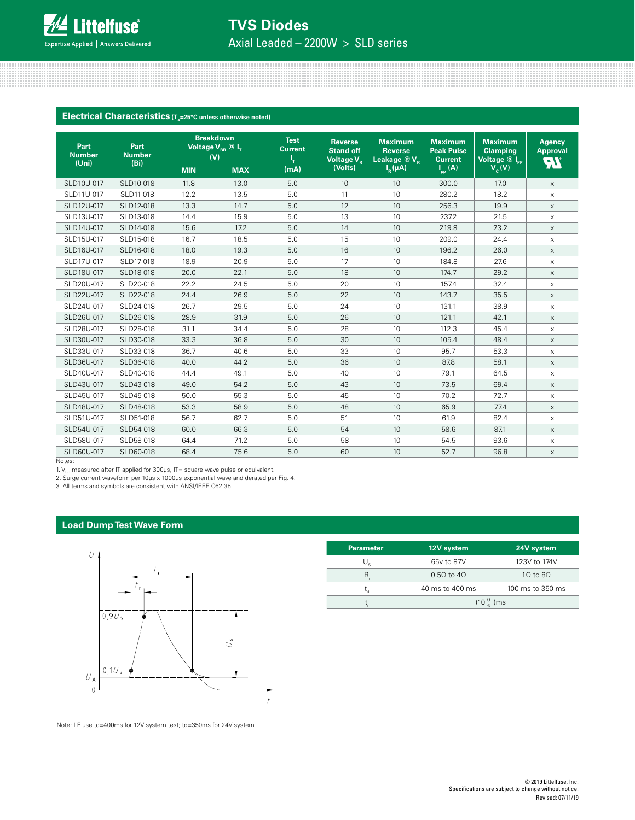

# **TVS Diodes**

Axial Leaded – 2200W > SLD series

### **Electrical Characteristics** (T<sub>A</sub>=25°C unless otherwise noted)

| Part<br><b>Number</b><br>(Uni) | Part<br><b>Number</b> | <b>Breakdown</b><br>Voltage $\overline{V_{BR} \otimes I_{T}}$<br>(V)<br>(Bi) |            | <b>Test</b><br><b>Current</b> | <b>Reverse</b><br><b>Stand off</b><br>Voltage V <sub>R</sub> | <b>Maximum</b><br><b>Reverse</b><br>Leakage $@V_{R}$ | <b>Maximum</b><br><b>Peak Pulse</b><br><b>Current</b> | <b>Maximum</b><br><b>Clamping</b><br>Voltage @ Ipp | <b>Agency</b><br><b>Approval</b><br><b>TR</b> |
|--------------------------------|-----------------------|------------------------------------------------------------------------------|------------|-------------------------------|--------------------------------------------------------------|------------------------------------------------------|-------------------------------------------------------|----------------------------------------------------|-----------------------------------------------|
|                                |                       | <b>MIN</b>                                                                   | <b>MAX</b> | (mA)                          | (Volts)                                                      | $I_R(\mu A)$                                         | $I_{\text{pp}}(A)$                                    | $V_c(V)$                                           |                                               |
| SLD10U-017                     | SLD10-018             | 11.8                                                                         | 13.0       | 5.0                           | 10                                                           | 10                                                   | 300.0                                                 | 17.0                                               | $\times$                                      |
| SLD11U-017                     | SLD11-018             | 12.2                                                                         | 13.5       | 5.0                           | 11                                                           | 10                                                   | 280.2                                                 | 18.2                                               | $\times$                                      |
| SLD12U-017                     | SLD12-018             | 13.3                                                                         | 14.7       | 5.0                           | 12                                                           | 10                                                   | 256.3                                                 | 19.9                                               | $\mathsf{X}$                                  |
| SLD13U-017                     | SLD13-018             | 14.4                                                                         | 15.9       | 5.0                           | 13                                                           | 10                                                   | 237.2                                                 | 21.5                                               | $\times$                                      |
| SLD14U-017                     | SLD14-018             | 15.6                                                                         | 17.2       | 5.0                           | 14                                                           | 10                                                   | 219.8                                                 | 23.2                                               | $\times$                                      |
| SLD15U-017                     | SLD15-018             | 16.7                                                                         | 18.5       | 5.0                           | 15                                                           | 10                                                   | 209.0                                                 | 24.4                                               | X                                             |
| SLD16U-017                     | SLD16-018             | 18.0                                                                         | 19.3       | 5.0                           | 16                                                           | 10                                                   | 196.2                                                 | 26.0                                               | $\times$                                      |
| SLD17U-017                     | SLD17-018             | 18.9                                                                         | 20.9       | 5.0                           | 17                                                           | 10                                                   | 184.8                                                 | 27.6                                               | X                                             |
| SLD18U-017                     | SLD18-018             | 20.0                                                                         | 22.1       | 5.0                           | 18                                                           | 10                                                   | 174.7                                                 | 29.2                                               | $\times$                                      |
| SLD20U-017                     | SLD20-018             | 22.2                                                                         | 24.5       | 5.0                           | 20                                                           | 10                                                   | 157.4                                                 | 32.4                                               | X                                             |
| SLD22U-017                     | SLD22-018             | 24.4                                                                         | 26.9       | 5.0                           | 22                                                           | 10                                                   | 143.7                                                 | 35.5                                               | $\times$                                      |
| SLD24U-017                     | SLD24-018             | 26.7                                                                         | 29.5       | 5.0                           | 24                                                           | 10                                                   | 131.1                                                 | 38.9                                               | $\mathsf X$                                   |
| SLD26U-017                     | SLD26-018             | 28.9                                                                         | 31.9       | 5.0                           | 26                                                           | 10                                                   | 121.1                                                 | 42.1                                               | $\mathsf X$                                   |
| SLD28U-017                     | SLD28-018             | 31.1                                                                         | 34.4       | 5.0                           | 28                                                           | 10                                                   | 112.3                                                 | 45.4                                               | $\mathsf X$                                   |
| SLD30U-017                     | SLD30-018             | 33.3                                                                         | 36.8       | 5.0                           | 30                                                           | 10                                                   | 105.4                                                 | 48.4                                               | X                                             |
| SLD33U-017                     | SLD33-018             | 36.7                                                                         | 40.6       | 5.0                           | 33                                                           | 10                                                   | 95.7                                                  | 53.3                                               | $\times$                                      |
| SLD36U-017                     | SLD36-018             | 40.0                                                                         | 44.2       | 5.0                           | 36                                                           | 10                                                   | 87.8                                                  | 58.1                                               | X                                             |
| SLD40U-017                     | SLD40-018             | 44.4                                                                         | 49.1       | 5.0                           | 40                                                           | 10                                                   | 79.1                                                  | 64.5                                               | X                                             |
| SLD43U-017                     | SLD43-018             | 49.0                                                                         | 54.2       | 5.0                           | 43                                                           | 10                                                   | 73.5                                                  | 69.4                                               | X                                             |
| SLD45U-017                     | SLD45-018             | 50.0                                                                         | 55.3       | 5.0                           | 45                                                           | 10                                                   | 70.2                                                  | 72.7                                               | $\times$                                      |
| SLD48U-017                     | SLD48-018             | 53.3                                                                         | 58.9       | 5.0                           | 48                                                           | 10                                                   | 65.9                                                  | 77.4                                               | $\times$                                      |
| SLD51U-017                     | SLD51-018             | 56.7                                                                         | 62.7       | 5.0                           | 51                                                           | 10                                                   | 61.9                                                  | 82.4                                               | $\times$                                      |
| SLD54U-017                     | SLD54-018             | 60.0                                                                         | 66.3       | 5.0                           | 54                                                           | 10                                                   | 58.6                                                  | 87.1                                               | $\times$                                      |
| SLD58U-017                     | SLD58-018             | 64.4                                                                         | 71.2       | 5.0                           | 58                                                           | 10                                                   | 54.5                                                  | 93.6                                               | X                                             |
| SLD60U-017                     | SLD60-018             | 68.4                                                                         | 75.6       | 5.0                           | 60                                                           | 10                                                   | 52.7                                                  | 96.8                                               | X                                             |

Notes:

1.  $V_{BB}$  measured after IT applied for 300 $\mu$ s, IT= square wave pulse or equivalent.

2. Surge current waveform per 10μs x 1000μs exponential wave and derated per Fig. 4.

3. All terms and symbols are consistent with ANSI/IEEE C62.35

### **Load Dump Test Wave Form**



Note: LF use td=400ms for 12V system test; td=350ms for 24V system

| Parameter | 12V system                          | 24V system                           |  |  |
|-----------|-------------------------------------|--------------------------------------|--|--|
| U.        | 65y to 87V                          | 123V to 174V                         |  |  |
| R         | $0.50$ to $40$                      | $10$ to $80$                         |  |  |
|           | 40 ms to 400 ms                     | $100 \text{ ms}$ to $350 \text{ ms}$ |  |  |
|           | (10 <sup>0</sup> / <sub>5</sub> )ms |                                      |  |  |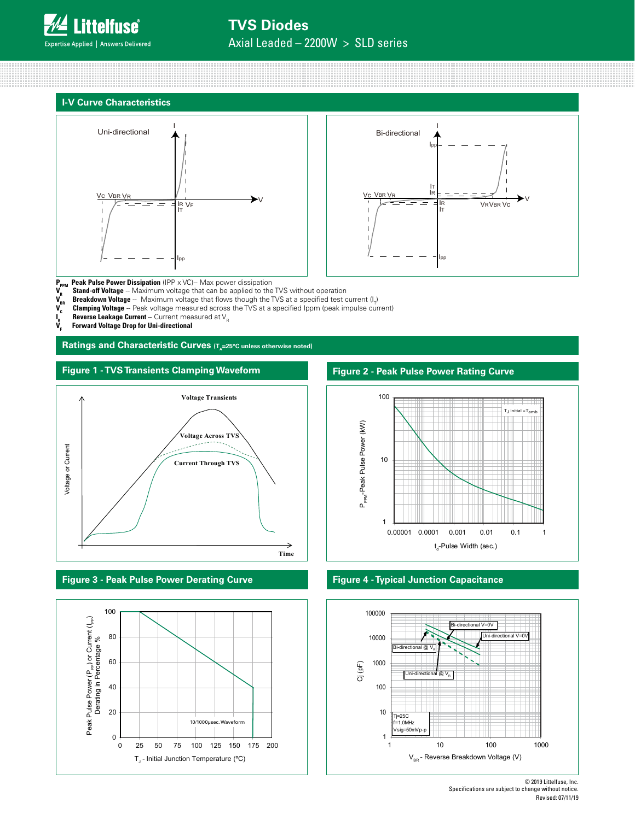# **TVS Diodes**

Axial Leaded – 2200W > SLD series







**P<sub>PPM</sub> Peak Pulse Power Dissipation** (IPP x VC)-- Max power dissipation<br>**V** Stand-off Voltage -- Maximum voltage that can be applied to the

- 
- **V<sub>R</sub> Stand-off Voltage** -- Maximum voltage that can be applied to the TVS without operation<br>**V Rreakdown Voltage** -- Maximum voltage that flows though the TVS at a specified test of **V<sub>BR</sub> Breakdown Voltage** -- Maximum voltage that flows though the TVS at a specified test current (I<sub>T</sub>)
- **V<sub>C</sub>** Clamping Voltage -- Peak voltage measured across the TVS at a specified Ippm (peak impulse current)
- **Reverse Leakage Current** -- Current measured at V<sub>R</sub>
- **I VF Forward Voltage Drop for Uni-directional**

Ratings and Characteristic Curves (T<sub>A</sub>=25°C unless otherwise noted)

**Figure 1 - TVS Transients Clamping Waveform**













<sup>© 2019</sup> Littelfuse, Inc. Specifications are subject to change without notice. Revised: 07/11/19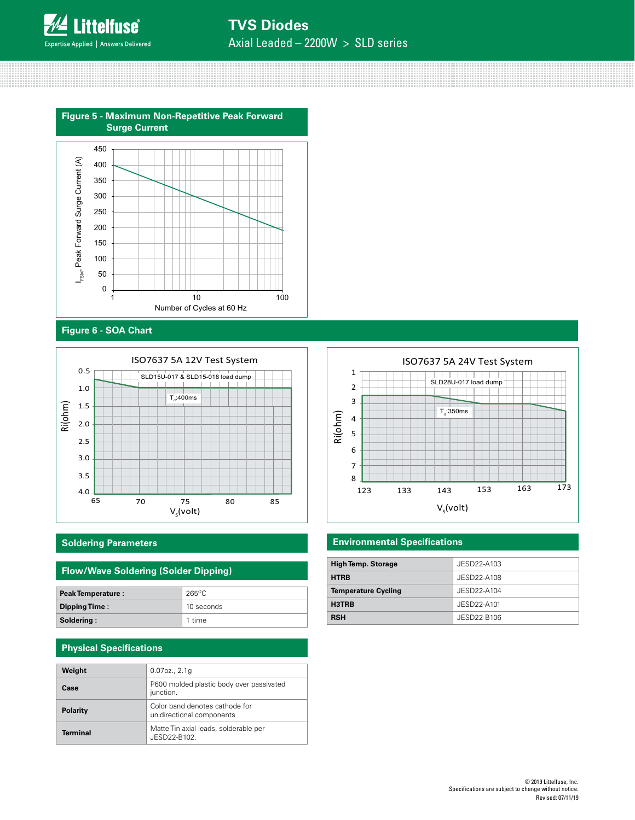![](_page_3_Picture_0.jpeg)

# **TVS Diodes** Axial Leaded – 2200W > SLD series

**Figure 5 - Maximum Non-Repetitive Peak Forward Surge Current**

![](_page_3_Figure_3.jpeg)

# **Figure 6 - SOA Chart**

![](_page_3_Figure_5.jpeg)

### **Soldering Parameters**

# **Flow/Wave Soldering (Solder Dipping)**

| <b>Peak Temperature:</b> | $265^{\circ}$ C |
|--------------------------|-----------------|
| Dipping Time:            | 10 seconds      |
| Soldering:               | 1 time          |

### **Physical Specifications**

| Weight          | $0.07$ oz., $2.1q$                                          |
|-----------------|-------------------------------------------------------------|
| Case            | P600 molded plastic body over passivated<br>junction.       |
| <b>Polarity</b> | Color band denotes cathode for<br>unidirectional components |
| Terminal        | Matte Tin axial leads, solderable per<br>JESD22-B102        |

![](_page_3_Figure_11.jpeg)

### **Environmental Specifications**

| <b>High Temp. Storage</b>  | JESD22-A103 |
|----------------------------|-------------|
| <b>HTRB</b>                | JESD22-A108 |
| <b>Temperature Cycling</b> | JESD22-A104 |
| H3TRB                      | JESD22-A101 |
| <b>RSH</b>                 | JESD22-B106 |